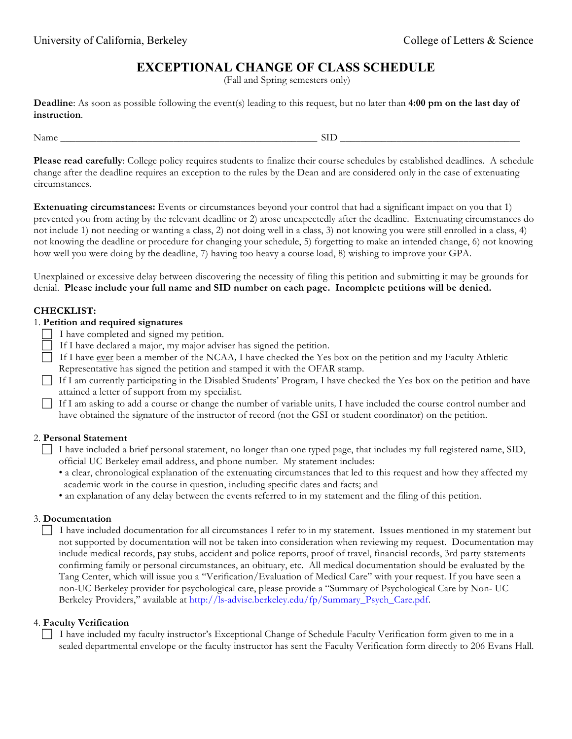# **EXCEPTIONAL CHANGE OF CLASS SCHEDULE**

(Fall and Spring semesters only)

**Deadline**: As soon as possible following the event(s) leading to this request, but no later than **4:00 pm on the last day of instruction**.

Name the state of the state of  $\mathop{\rm SID}$ 

**Please read carefully**: College policy requires students to finalize their course schedules by established deadlines. A schedule change after the deadline requires an exception to the rules by the Dean and are considered only in the case of extenuating circumstances.

**Extenuating circumstances:** Events or circumstances beyond your control that had a significant impact on you that 1) prevented you from acting by the relevant deadline or 2) arose unexpectedly after the deadline. Extenuating circumstances do not include 1) not needing or wanting a class, 2) not doing well in a class, 3) not knowing you were still enrolled in a class, 4) not knowing the deadline or procedure for changing your schedule, 5) forgetting to make an intended change, 6) not knowing how well you were doing by the deadline, 7) having too heavy a course load, 8) wishing to improve your GPA.

Unexplained or excessive delay between discovering the necessity of filing this petition and submitting it may be grounds for denial. **Please include your full name and SID number on each page. Incomplete petitions will be denied.** 

# **CHECKLIST:**

# 1. **Petition and required signatures**

- $\Box$  I have completed and signed my petition.
- If I have declared a major, my major adviser has signed the petition.
- If I have ever been a member of the NCAA*,* I have checked the Yes box on the petition and my Faculty Athletic Representative has signed the petition and stamped it with the OFAR stamp.
- If I am currently participating in the Disabled Students' Program*,* I have checked the Yes box on the petition and have attained a letter of support from my specialist.

 If I am asking to add a course or change the number of variable units*,* I have included the course control number and have obtained the signature of the instructor of record (not the GSI or student coordinator) on the petition.

### 2. **Personal Statement**

- I have included a brief personal statement, no longer than one typed page, that includes my full registered name, SID, official UC Berkeley email address, and phone number. My statement includes:
	- a clear, chronological explanation of the extenuating circumstances that led to this request and how they affected my academic work in the course in question, including specific dates and facts; and
	- an explanation of any delay between the events referred to in my statement and the filing of this petition.

### 3. **Documentation**

 I have included documentation for all circumstances I refer to in my statement. Issues mentioned in my statement but not supported by documentation will not be taken into consideration when reviewing my request. Documentation may include medical records, pay stubs, accident and police reports, proof of travel, financial records, 3rd party statements confirming family or personal circumstances, an obituary, etc. All medical documentation should be evaluated by the Tang Center, which will issue you a "Verification/Evaluation of Medical Care" with your request. If you have seen a non-UC Berkeley provider for psychological care, please provide a "Summary of Psychological Care by Non- UC Berkeley Providers," available at http://ls-advise.berkeley.edu/fp/Summary\_Psych\_Care.pdf.

### 4. **Faculty Verification**

 I have included my faculty instructor's Exceptional Change of Schedule Faculty Verification form given to me in a sealed departmental envelope or the faculty instructor has sent the Faculty Verification form directly to 206 Evans Hall.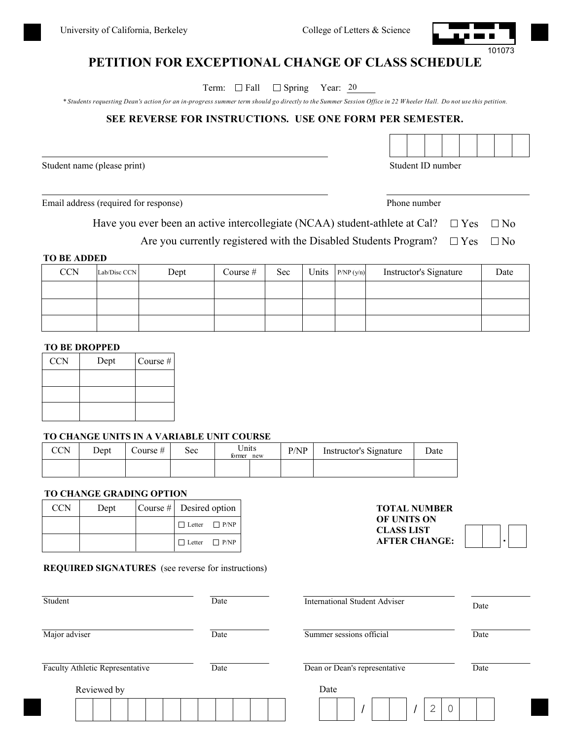

# **PETITION FOR EXCEPTIONAL CHANGE OF CLASS SCHEDULE**

Term:  $\Box$  Fall  $\Box$  Spring Year: 20

*\* Students requesting Dean's action for an in-progress summer term should go directly to the Summer Session Office in 22 W heeler Hall. Do not use this petition.*

## **SEE REVERSE FOR INSTRUCTIONS. USE ONE FORM PER SEMESTER.**

Student name (please print) Student ID number

Email address (required for response) Phone number

**TOTAL NUMBER OF UNITS ON CLASS LIST AFTER CHANGE:**

Have you ever been an active intercollegiate (NCAA) student-athlete at Cal?  $\Box$  Yes  $\Box$  No

Are you currently registered with the Disabled Students Program?  $\Box$  Yes  $\Box$  No

#### **TO BE ADDED**

| <b>CCN</b> | Lab/Disc CCN | Dept | Course $#$ | Sec | Units | P/NP(y/n) | Instructor's Signature | Date |
|------------|--------------|------|------------|-----|-------|-----------|------------------------|------|
|            |              |      |            |     |       |           |                        |      |
|            |              |      |            |     |       |           |                        |      |
|            |              |      |            |     |       |           |                        |      |

#### **TO BE DROPPED**

| <b>CCN</b> | Dept | Course # |
|------------|------|----------|
|            |      |          |
|            |      |          |
|            |      |          |

#### **TO CHANGE UNITS IN A VARIABLE UNIT COURSE**

| <b>CCN</b> | Dept | Course # | sec | Units<br>former new | P/NP | Instructor's Signature | Date |  |
|------------|------|----------|-----|---------------------|------|------------------------|------|--|
|            |      |          |     |                     |      |                        |      |  |

#### **TO CHANGE GRADING OPTION**

| <b>CCN</b> | Dept | $\vert$ Course # $\vert$ Desired option |  |  |
|------------|------|-----------------------------------------|--|--|
|            |      | $\Box$ Letter $\Box$ P/NP               |  |  |
|            |      | $\Box$ Letter $\Box$ P/NP               |  |  |

#### **REQUIRED SIGNATURES** (see reverse for instructions)

| Student                                |  |  |  |      |  | Date                          |                          | <b>International Student Adviser</b> |  |  |  |  |      |  |      | Date |        |  |  |  |
|----------------------------------------|--|--|--|------|--|-------------------------------|--------------------------|--------------------------------------|--|--|--|--|------|--|------|------|--------|--|--|--|
| Major adviser                          |  |  |  | Date |  |                               | Summer sessions official |                                      |  |  |  |  |      |  | Date |      |        |  |  |  |
| <b>Faculty Athletic Representative</b> |  |  |  | Date |  | Dean or Dean's representative |                          |                                      |  |  |  |  | Date |  |      |      |        |  |  |  |
| Reviewed by                            |  |  |  |      |  |                               |                          | Date                                 |  |  |  |  |      |  |      |      |        |  |  |  |
|                                        |  |  |  |      |  |                               |                          |                                      |  |  |  |  |      |  |      |      | €<br>∠ |  |  |  |



.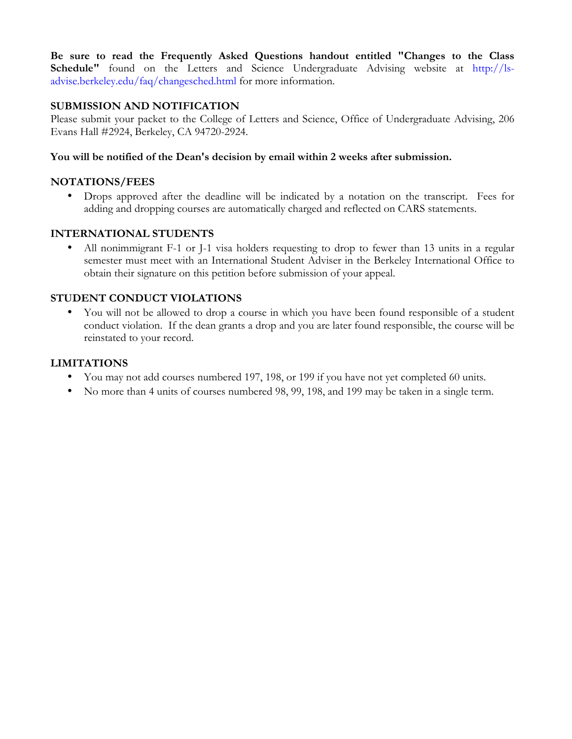**Be sure to read the Frequently Asked Questions handout entitled "Changes to the Class**  Schedule" found on the Letters and Science Undergraduate Advising website at http://lsadvise.berkeley.edu/faq/changesched.html for more information.

# **SUBMISSION AND NOTIFICATION**

Please submit your packet to the College of Letters and Science, Office of Undergraduate Advising, 206 Evans Hall #2924, Berkeley, CA 94720-2924.

# **You will be notified of the Dean's decision by email within 2 weeks after submission.**

# **NOTATIONS/FEES**

• Drops approved after the deadline will be indicated by a notation on the transcript. Fees for adding and dropping courses are automatically charged and reflected on CARS statements.

# **INTERNATIONAL STUDENTS**

• All nonimmigrant F-1 or J-1 visa holders requesting to drop to fewer than 13 units in a regular semester must meet with an International Student Adviser in the Berkeley International Office to obtain their signature on this petition before submission of your appeal.

# **STUDENT CONDUCT VIOLATIONS**

• You will not be allowed to drop a course in which you have been found responsible of a student conduct violation. If the dean grants a drop and you are later found responsible, the course will be reinstated to your record.

# **LIMITATIONS**

- You may not add courses numbered 197, 198, or 199 if you have not yet completed 60 units.
- No more than 4 units of courses numbered 98, 99, 198, and 199 may be taken in a single term.